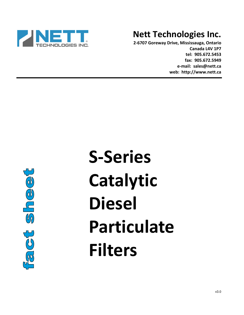

# **Nett Technologies Inc.**

**2-6707 Goreway Drive, Mississauga, Ontario Canada L4V 1P7 tel: 905.672.5453 fax: 905.672.5949 e-mail: sales@nett.ca web: http://www.nett.ca** 



# **S-Series Catalytic Diesel Particulate Filters**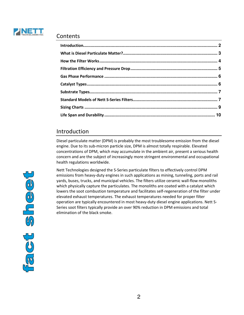

#### **Contents**

#### Introduction

Diesel particulate matter (DPM) is probably the most troublesome emission from the diesel engine. Due to its sub-micron particle size, DPM is almost totally respirable. Elevated concentrations of DPM, which may accumulate in the ambient air, present a serious health concern and are the subject of increasingly more stringent environmental and occupational health regulations worldwide.

Nett Technologies designed the S-Series particulate filters to effectively control DPM emissions from heavy-duty engines in such applications as mining, tunneling, ports and rail yards, buses, trucks, and municipal vehicles. The filters utilize ceramic wall-flow monoliths which physically capture the particulates. The monoliths are coated with a catalyst which lowers the soot combustion temperature and facilitates self-regeneration of the filter under elevated exhaust temperatures. The exhaust temperatures needed for proper filter operation are typically encountered in most heavy-duty diesel engine applications. Nett S-Series soot filters typically provide an over 90% reduction in DPM emissions and total elimination of the black smoke.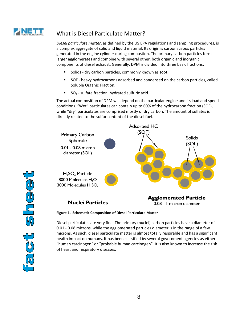

## What is Diesel Particulate Matter?

*Diesel particulate matter*, as defined by the US EPA regulations and sampling procedures, is a complex aggregate of solid and liquid material. Its origin is carbonaceous particles generated in the engine cylinder during combustion. The primary carbon particles form larger agglomerates and combine with several other, both organic and inorganic, components of diesel exhaust. Generally, DPM is divided into three basic fractions:

- Solids dry carbon particles, commonly known as soot,
- SOF heavy hydrocarbons adsorbed and condensed on the carbon particles, called Soluble Organic Fraction,
- SO4 sulfate fraction, hydrated sulfuric acid.

The actual composition of DPM will depend on the particular engine and its load and speed conditions. "Wet" particulates can contain up to 60% of the hydrocarbon fraction (SOF), while "dry" particulates are comprised mostly of dry carbon. The amount of sulfates is directly related to the sulfur content of the diesel fuel.





Diesel particulates are very fine. The primary (nuclei) carbon particles have a diameter of 0.01 - 0.08 microns, while the agglomerated particles diameter is in the range of a few microns. As such, diesel particulate matter is almost totally respirable and has a significant health impact on humans. It has been classified by several government agencies as either "human carcinogen" or "probable human carcinogen". It is also known to increase the risk of heart and respiratory diseases.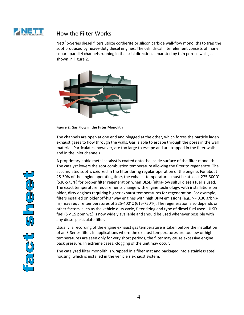

#### How the Filter Works

Nett<sup>®</sup> S-Series diesel filters utilize cordierite or silicon carbide wall-flow monoliths to trap the soot produced by heavy-duty diesel engines. The cylindrical filter element consists of many square parallel channels running in the axial direction, separated by thin porous walls, as shown in Figure 2.



**Figure 2. Gas Flow in the Filter Monolith** 

The channels are open at one end and plugged at the other, which forces the particle laden exhaust gases to flow through the walls. Gas is able to escape through the pores in the wall material. Particulates, however, are too large to escape and are trapped in the filter walls and in the inlet channels.

A proprietary noble metal catalyst is coated onto the inside surface of the filter monolith. The catalyst lowers the soot combustion temperature allowing the filter to regenerate. The accumulated soot is oxidized in the filter during regular operation of the engine. For about 25-30% of the engine operating time, the exhaust temperatures must be at least 275-300°C (530-575°F) for proper filter regeneration when ULSD (ultra-low sulfur diesel) fuel is used. The exact temperature requirements change with engine technology, with installations on older, dirty engines requiring higher exhaust temperatures for regeneration. For example, filters installed on older off-highway engines with high DPM emissions (e.g., >= 0.30 g/bhphr) may require temperatures of 325-400°C (615-750°F). The regeneration also depends on other factors, such as the vehicle duty cycle, filter sizing and type of diesel fuel used. ULSD fuel (S < 15 ppm wt.) is now widely available and should be used whenever possible with any diesel particulate filter.

Usually, a recording of the engine exhaust gas temperature is taken before the installation of an S-Series filter. In applications where the exhaust temperatures are too low or high temperatures are seen only for very short periods, the filter may cause excessive engine back pressure. In extreme cases, clogging of the unit may occur.

The catalyzed filter monolith is wrapped in a fiber mat and packaged into a stainless steel housing, which is installed in the vehicle's exhaust system.

Dec  $\overline{\mathcal{C}}$  $\frac{1}{3}$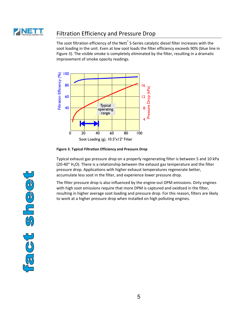

#### Filtration Efficiency and Pressure Drop

The soot filtration efficiency of the Nett<sup>®</sup> S-Series catalytic diesel filter increases with the soot loading in the unit. Even at low soot loads the filter efficiency exceeds 90% (blue line in Figure 3). The visible smoke is completely eliminated by the filter, resulting in a dramatic improvement of smoke opacity readings.



**Figure 3. Typical Filtration Efficiency and Pressure Drop** 

Typical exhaust gas pressure drop on a properly regenerating filter is between 5 and 10 kPa (20-40" H<sub>2</sub>O). There is a relationship between the exhaust gas temperature and the filter pressure drop. Applications with higher exhaust temperatures regenerate better, accumulate less soot in the filter, and experience lower pressure drop.

The filter pressure drop is also influenced by the engine-out DPM emissions. Dirty engines with high soot emissions require that more DPM is captured and oxidized in the filter, resulting in higher average soot loading and pressure drop. For this reason, filters are likely to work at a higher pressure drop when installed on high polluting engines.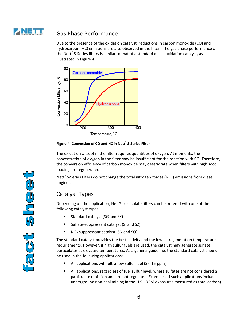

#### Gas Phase Performance

Due to the presence of the oxidation catalyst, reductions in carbon monoxide (CO) and hydrocarbon (HC) emissions are also observed in the filter. The gas phase performance of the Nett $\degree$  S-Series filters is similar to that of a standard diesel oxidation catalyst, as illustrated in Figure 4.





The oxidation of soot in the filter requires quantities of oxygen. At moments, the concentration of oxygen in the filter may be insufficient for the reaction with CO. Therefore, the conversion efficiency of carbon monoxide may deteriorate when filters with high soot loading are regenerated.

Nett<sup>®</sup> S-Series filters do not change the total nitrogen oxides (NO<sub>x</sub>) emissions from diesel engines.

#### Catalyst Types

Depending on the application, Nett® particulate filters can be ordered with one of the following catalyst types:

- Standard catalyst (SG and SX)
- Sulfate-suppressant catalyst (SI and SZ)
- NO2 suppressant catalyst (SN and SO)

The standard catalyst provides the best activity and the lowest regeneration temperature requirements. However, if high sulfur fuels are used, the catalyst may generate sulfate particulates at elevated temperatures. As a general guideline, the standard catalyst should be used in the following applications:

- All applications with ultra-low sulfur fuel  $(S < 15$  ppm).
- All applications, regardless of fuel sulfur level, where sulfates are not considered a particulate emission and are not regulated. Examples of such applications include underground non-coal mining in the U.S. (DPM exposures measured as total carbon)

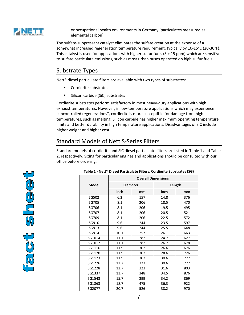

or occupational health environments in Germany (particulates measured as elemental carbon).

The sulfate-suppressant catalyst eliminates the sulfate creation at the expense of a somewhat increased regeneration temperature requirement, typically by 10-15°C (20-30°F). This catalyst is used for applications with higher sulfur fuels ( $S > 15$  ppm) which are sensitive to sulfate particulate emissions, such as most urban buses operated on high sulfur fuels.

#### Substrate Types

Nett® diesel particulate filters are available with two types of substrates:

- Cordierite substrates
- Silicon carbide (SiC) substrates

Cordierite substrates perform satisfactory in most heavy-duty applications with high exhaust temperatures. However, in low-temperature applications which may experience "uncontrolled regenerations", cordierite is more susceptible for damage from high temperatures, such as melting. Silicon carbide has higher maximum operating temperature limits and better durability in high temperature applications. Disadvantages of SiC include higher weight and higher cost.

### Standard Models of Nett S-Series Filters

Standard models of cordierite and SiC diesel particulate filters are listed in Table 1 and Table 2, respectively. Sizing for particular engines and applications should be consulted with our office before ordering.



#### **Table 1 - Nett® Diesel Particulate Filters: Cordierite Substrates (SG)**

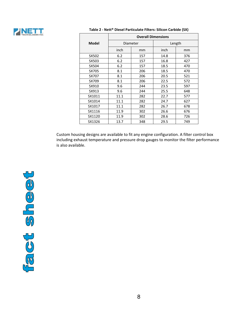

|              | <b>Overall Dimensions</b> |     |      |        |
|--------------|---------------------------|-----|------|--------|
| <b>Model</b> | Diameter                  |     |      | Length |
|              | inch                      | mm  | inch | mm     |
| SX502        | 6.2                       | 157 | 14.8 | 376    |
| SX503        | 6.2                       | 157 | 16.8 | 427    |
| SX504        | 6.2                       | 157 | 18.5 | 470    |
| SX705        | 8.1                       | 206 | 18.5 | 470    |
| SX707        | 8.1                       | 206 | 20.5 | 521    |
| SX709        | 8.1                       | 206 | 22.5 | 572    |
| SX910        | 9.6                       | 244 | 23.5 | 597    |
| SX913        | 9.6                       | 244 | 25.5 | 648    |
| SX1011       | 11.1                      | 282 | 22.7 | 577    |
| SX1014       | 11.1                      | 282 | 24.7 | 627    |
| SX1017       | 11.1                      | 282 | 26.7 | 678    |
| SX1116       | 11.9                      | 302 | 26.6 | 676    |
| SX1120       | 11.9                      | 302 | 28.6 | 726    |
| SX1326       | 13.7                      | 348 | 29.5 | 749    |

#### **Table 2 - Nett® Diesel Particulate Filters: Silicon Carbide (SX)**

Custom housing designs are available to fit any engine configuration. A filter control box including exhaust temperature and pressure drop gauges to monitor the filter performance is also available.

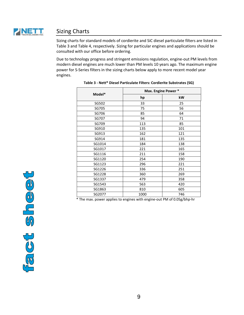

### Sizing Charts

Sizing charts for standard models of cordierite and SiC diesel particulate filters are listed in Table 3 and Table 4, respectively. Sizing for particular engines and applications should be consulted with our office before ordering.

Due to technology progress and stringent emissions regulation, engine-out PM levels from modern diesel engines are much lower than PM levels 10 years ago. The maximum engine power for S-Series filters in the sizing charts below apply to more recent model year engines.

| Model* | Max. Engine Power * |     |  |
|--------|---------------------|-----|--|
|        | hp                  | kW  |  |
| SG502  | 33                  | 25  |  |
| SG705  | 75                  | 56  |  |
| SG706  | 85                  | 64  |  |
| SG707  | 94                  | 71  |  |
| SG709  | 113                 | 85  |  |
| SG910  | 135                 | 101 |  |
| SG913  | 162                 | 121 |  |
| SG914  | 181                 | 135 |  |
| SG1014 | 184                 | 138 |  |
| SG1017 | 221                 | 165 |  |
| SG1116 | 211                 | 158 |  |
| SG1120 | 254                 | 190 |  |
| SG1123 | 296                 | 221 |  |
| SG1226 | 336                 | 251 |  |
| SG1228 | 360                 | 269 |  |
| SG1337 | 479                 | 358 |  |
| SG1543 | 563                 | 420 |  |
| SG1863 | 810                 | 605 |  |
| SG2077 | 1000                | 746 |  |

|  |  | Table 3 - Nett <sup>®</sup> Diesel Particulate Filters: Cordierite Substrates (SG) |  |
|--|--|------------------------------------------------------------------------------------|--|
|--|--|------------------------------------------------------------------------------------|--|

\* The max. power applies to engines with engine-out PM of 0.05g/bhp-hr